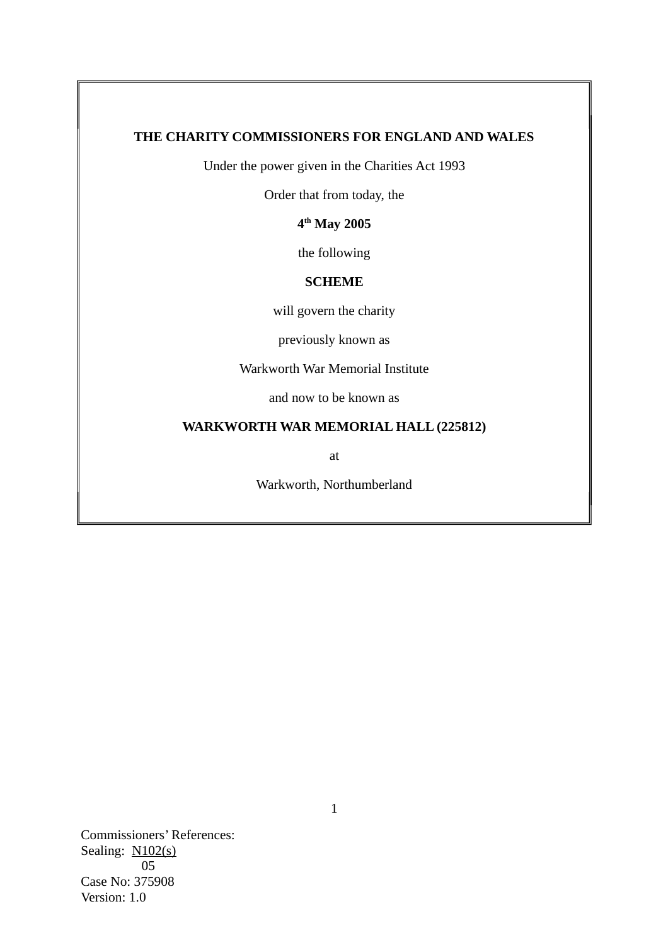## **THE CHARITY COMMISSIONERS FOR ENGLAND AND WALES**

Under the power given in the Charities Act 1993

Order that from today, the

**4 th May 2005**

the following

# **SCHEME**

will govern the charity

previously known as

Warkworth War Memorial Institute

and now to be known as

## **WARKWORTH WAR MEMORIAL HALL (225812)**

at

Warkworth, Northumberland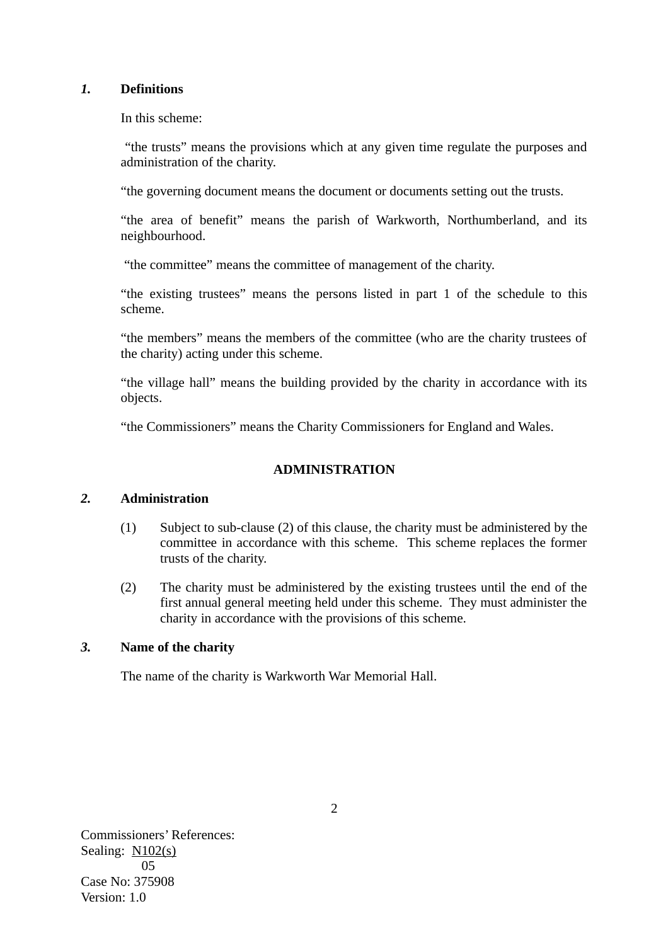## *1.* **Definitions**

In this scheme:

 "the trusts" means the provisions which at any given time regulate the purposes and administration of the charity.

"the governing document means the document or documents setting out the trusts.

"the area of benefit" means the parish of Warkworth, Northumberland, and its neighbourhood.

"the committee" means the committee of management of the charity.

"the existing trustees" means the persons listed in part 1 of the schedule to this scheme.

"the members" means the members of the committee (who are the charity trustees of the charity) acting under this scheme.

"the village hall" means the building provided by the charity in accordance with its objects.

"the Commissioners" means the Charity Commissioners for England and Wales.

# **ADMINISTRATION**

# *2.* **Administration**

- (1) Subject to sub-clause (2) of this clause*,* the charity must be administered by the committee in accordance with this scheme. This scheme replaces the former trusts of the charity.
- (2) The charity must be administered by the existing trustees until the end of the first annual general meeting held under this scheme. They must administer the charity in accordance with the provisions of this scheme.

# *3.* **Name of the charity**

The name of the charity is Warkworth War Memorial Hall.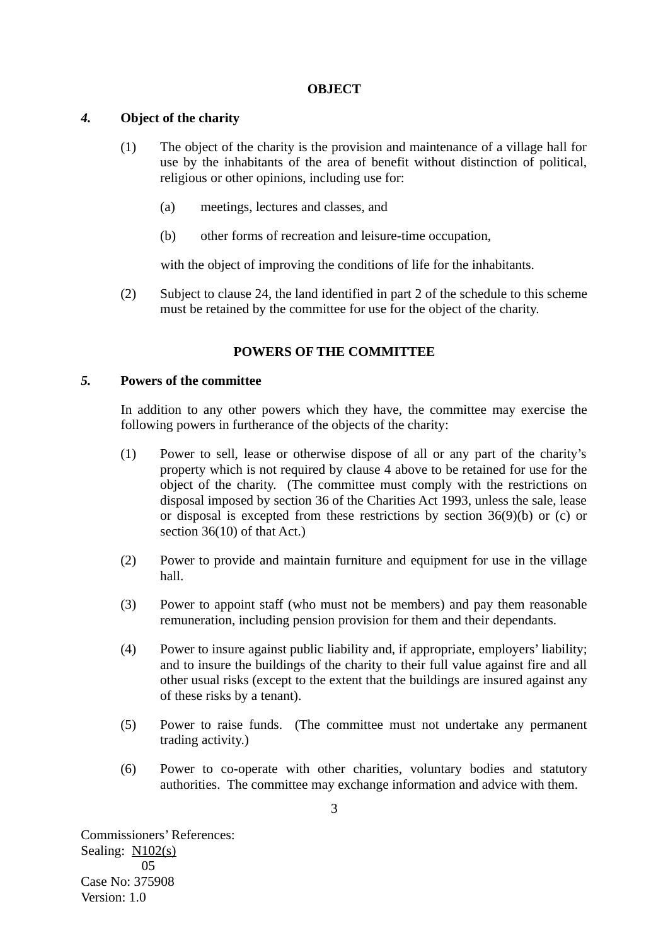#### **OBJECT**

## *4.* **Object of the charity**

- (1) The object of the charity is the provision and maintenance of a village hall for use by the inhabitants of the area of benefit without distinction of political, religious or other opinions, including use for:
	- (a) meetings, lectures and classes, and
	- (b) other forms of recreation and leisure-time occupation,

with the object of improving the conditions of life for the inhabitants.

(2) Subject to clause 24, the land identified in part 2 of the schedule to this scheme must be retained by the committee for use for the object of the charity.

## **POWERS OF THE COMMITTEE**

## *5.* **Powers of the committee**

In addition to any other powers which they have, the committee may exercise the following powers in furtherance of the objects of the charity:

- (1) Power to sell, lease or otherwise dispose of all or any part of the charity's property which is not required by clause 4 above to be retained for use for the object of the charity. (The committee must comply with the restrictions on disposal imposed by section 36 of the Charities Act 1993, unless the sale, lease or disposal is excepted from these restrictions by section 36(9)(b) or (c) or section 36(10) of that Act.)
- (2) Power to provide and maintain furniture and equipment for use in the village hall.
- (3) Power to appoint staff (who must not be members) and pay them reasonable remuneration, including pension provision for them and their dependants.
- (4) Power to insure against public liability and, if appropriate, employers' liability; and to insure the buildings of the charity to their full value against fire and all other usual risks (except to the extent that the buildings are insured against any of these risks by a tenant).
- (5) Power to raise funds. (The committee must not undertake any permanent trading activity.)
- (6) Power to co-operate with other charities, voluntary bodies and statutory authorities. The committee may exchange information and advice with them.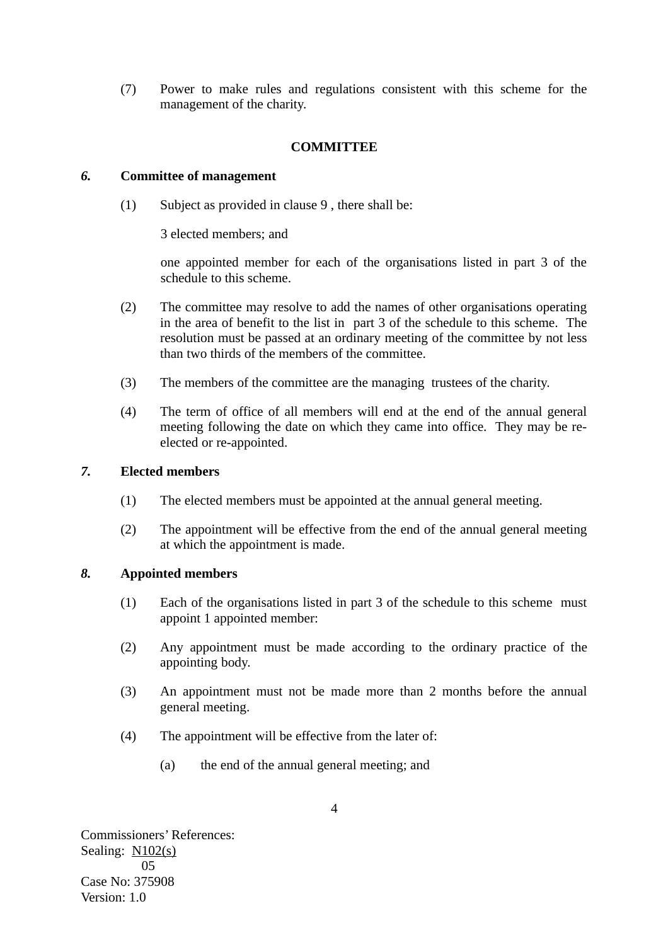(7) Power to make rules and regulations consistent with this scheme for the management of the charity.

## **COMMITTEE**

## *6.* **Committee of management**

(1) Subject as provided in clause 9 , there shall be:

3 elected members; and

one appointed member for each of the organisations listed in part 3 of the schedule to this scheme.

- (2) The committee may resolve to add the names of other organisations operating in the area of benefit to the list in part 3 of the schedule to this scheme. The resolution must be passed at an ordinary meeting of the committee by not less than two thirds of the members of the committee.
- (3) The members of the committee are the managing trustees of the charity.
- (4) The term of office of all members will end at the end of the annual general meeting following the date on which they came into office. They may be reelected or re-appointed.

## *7.* **Elected members**

- (1) The elected members must be appointed at the annual general meeting.
- (2) The appointment will be effective from the end of the annual general meeting at which the appointment is made.

# *8.* **Appointed members**

- (1) Each of the organisations listed in part 3 of the schedule to this scheme must appoint 1 appointed member:
- (2) Any appointment must be made according to the ordinary practice of the appointing body.
- (3) An appointment must not be made more than 2 months before the annual general meeting.
- (4) The appointment will be effective from the later of:
	- (a) the end of the annual general meeting; and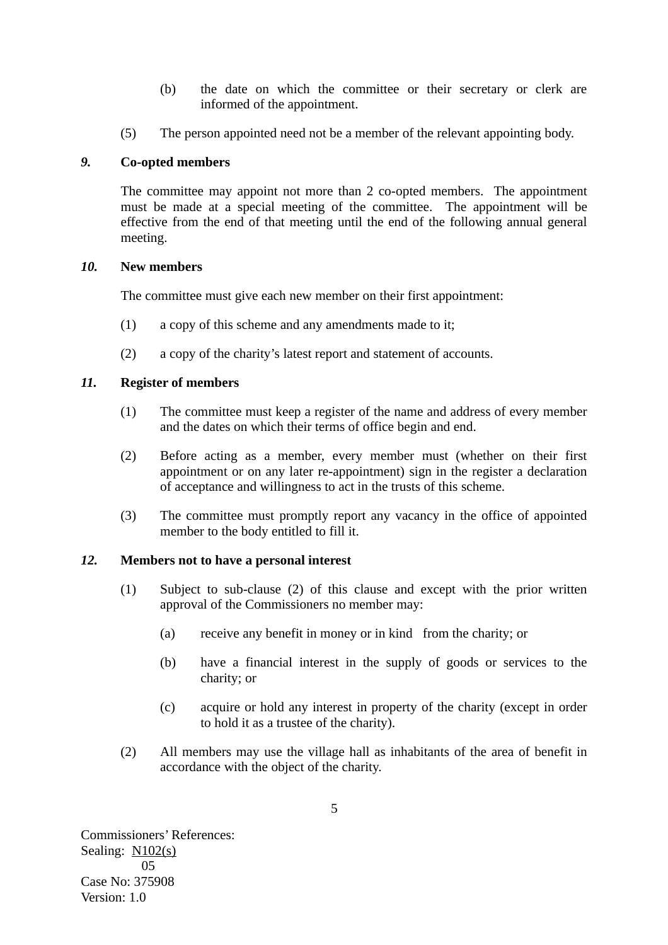- (b) the date on which the committee or their secretary or clerk are informed of the appointment.
- (5) The person appointed need not be a member of the relevant appointing body.

## *9.* **Co-opted members**

The committee may appoint not more than 2 co-opted members. The appointment must be made at a special meeting of the committee. The appointment will be effective from the end of that meeting until the end of the following annual general meeting.

## *10.* **New members**

The committee must give each new member on their first appointment:

- (1) a copy of this scheme and any amendments made to it;
- (2) a copy of the charity's latest report and statement of accounts.

## *11.* **Register of members**

- (1) The committee must keep a register of the name and address of every member and the dates on which their terms of office begin and end.
- (2) Before acting as a member, every member must (whether on their first appointment or on any later re-appointment) sign in the register a declaration of acceptance and willingness to act in the trusts of this scheme.
- (3) The committee must promptly report any vacancy in the office of appointed member to the body entitled to fill it.

## *12.* **Members not to have a personal interest**

- (1) Subject to sub-clause (2) of this clause and except with the prior written approval of the Commissioners no member may:
	- (a) receive any benefit in money or in kind from the charity; or
	- (b) have a financial interest in the supply of goods or services to the charity; or
	- (c) acquire or hold any interest in property of the charity (except in order to hold it as a trustee of the charity).
- (2) All members may use the village hall as inhabitants of the area of benefit in accordance with the object of the charity.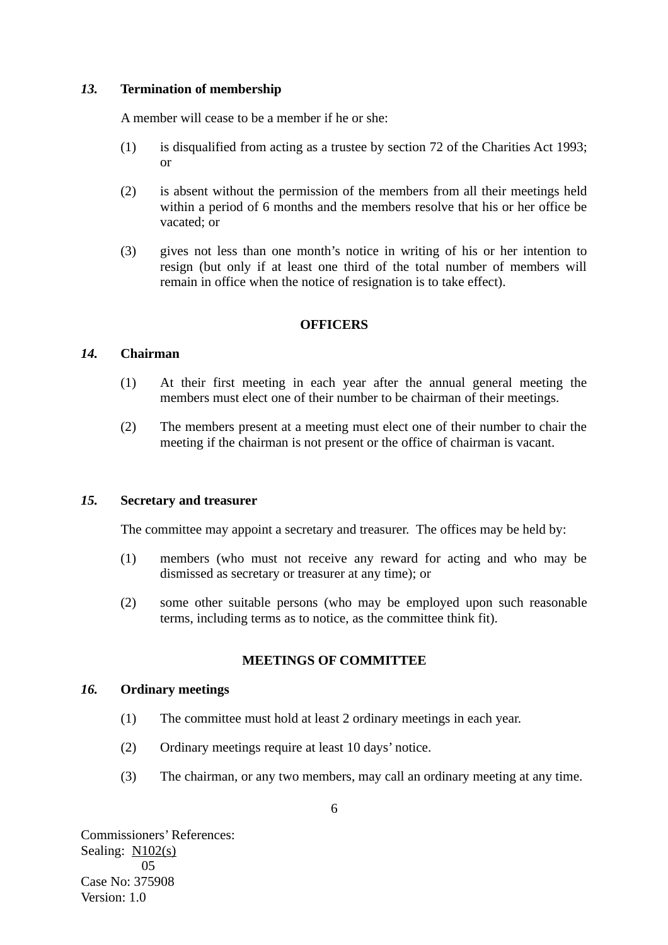## *13.* **Termination of membership**

A member will cease to be a member if he or she:

- (1) is disqualified from acting as a trustee by section 72 of the Charities Act 1993; or
- (2) is absent without the permission of the members from all their meetings held within a period of 6 months and the members resolve that his or her office be vacated; or
- (3) gives not less than one month's notice in writing of his or her intention to resign (but only if at least one third of the total number of members will remain in office when the notice of resignation is to take effect).

#### **OFFICERS**

#### *14.* **Chairman**

- (1) At their first meeting in each year after the annual general meeting the members must elect one of their number to be chairman of their meetings.
- (2) The members present at a meeting must elect one of their number to chair the meeting if the chairman is not present or the office of chairman is vacant.

### *15.* **Secretary and treasurer**

The committee may appoint a secretary and treasurer. The offices may be held by:

- (1) members (who must not receive any reward for acting and who may be dismissed as secretary or treasurer at any time); or
- (2) some other suitable persons (who may be employed upon such reasonable terms, including terms as to notice, as the committee think fit).

## **MEETINGS OF COMMITTEE**

#### *16.* **Ordinary meetings**

- (1) The committee must hold at least 2 ordinary meetings in each year.
- (2) Ordinary meetings require at least 10 days' notice.
- (3) The chairman, or any two members, may call an ordinary meeting at any time.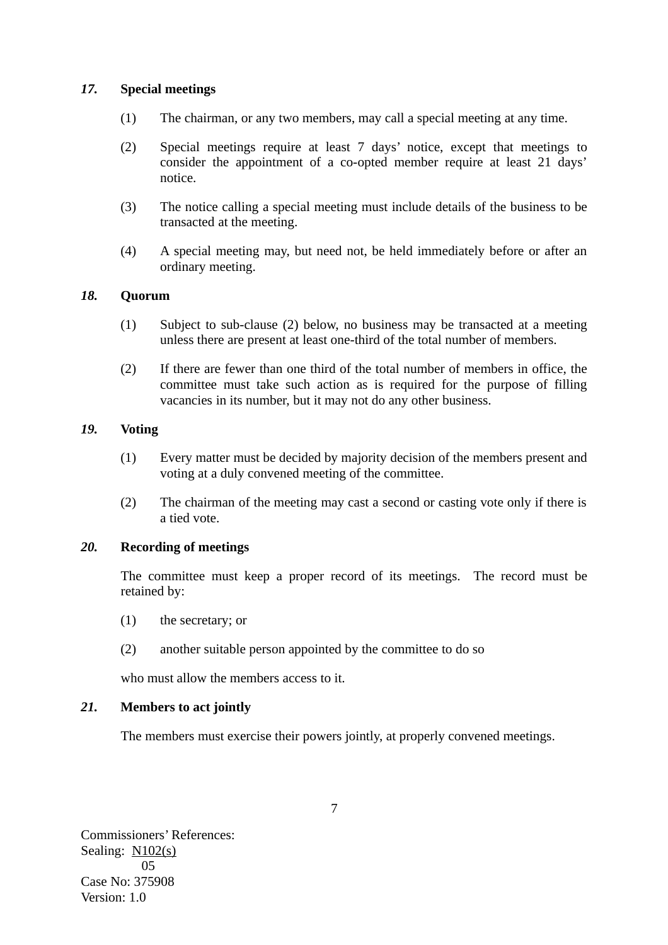## *17.* **Special meetings**

- (1) The chairman, or any two members, may call a special meeting at any time.
- (2) Special meetings require at least 7 days' notice, except that meetings to consider the appointment of a co-opted member require at least 21 days' notice.
- (3) The notice calling a special meeting must include details of the business to be transacted at the meeting.
- (4) A special meeting may, but need not, be held immediately before or after an ordinary meeting.

## *18.* **Quorum**

- (1) Subject to sub-clause (2) below, no business may be transacted at a meeting unless there are present at least one-third of the total number of members.
- (2) If there are fewer than one third of the total number of members in office, the committee must take such action as is required for the purpose of filling vacancies in its number, but it may not do any other business.

## *19.* **Voting**

- (1) Every matter must be decided by majority decision of the members present and voting at a duly convened meeting of the committee.
- (2) The chairman of the meeting may cast a second or casting vote only if there is a tied vote.

## *20.* **Recording of meetings**

The committee must keep a proper record of its meetings. The record must be retained by:

- (1) the secretary; or
- (2) another suitable person appointed by the committee to do so

who must allow the members access to it.

## *21.* **Members to act jointly**

The members must exercise their powers jointly, at properly convened meetings.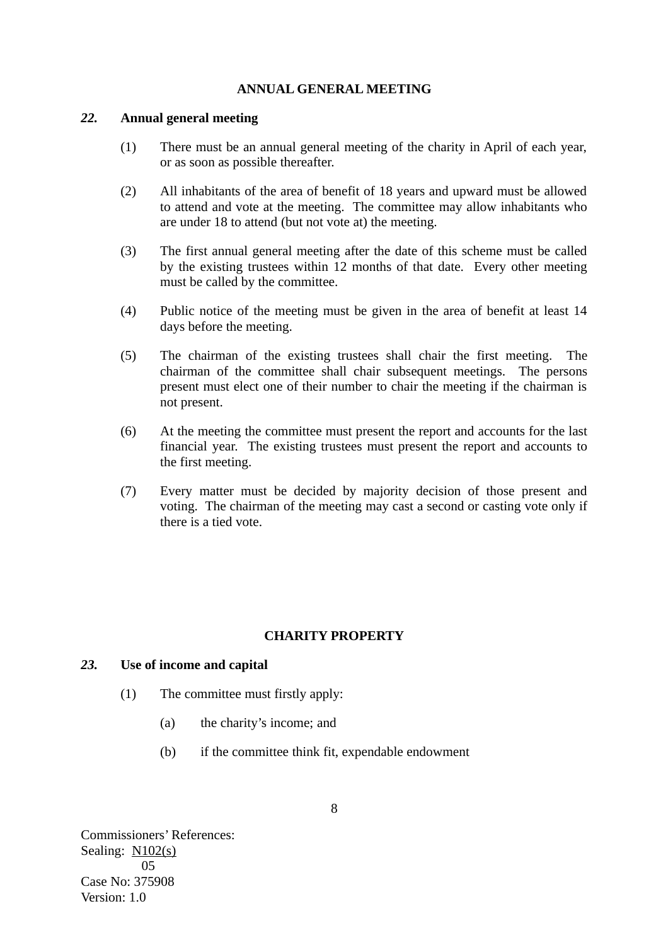## **ANNUAL GENERAL MEETING**

#### *22.* **Annual general meeting**

- (1) There must be an annual general meeting of the charity in April of each year, or as soon as possible thereafter.
- (2) All inhabitants of the area of benefit of 18 years and upward must be allowed to attend and vote at the meeting. The committee may allow inhabitants who are under 18 to attend (but not vote at) the meeting.
- (3) The first annual general meeting after the date of this scheme must be called by the existing trustees within 12 months of that date. Every other meeting must be called by the committee.
- (4) Public notice of the meeting must be given in the area of benefit at least 14 days before the meeting.
- (5) The chairman of the existing trustees shall chair the first meeting. The chairman of the committee shall chair subsequent meetings. The persons present must elect one of their number to chair the meeting if the chairman is not present.
- (6) At the meeting the committee must present the report and accounts for the last financial year. The existing trustees must present the report and accounts to the first meeting.
- (7) Every matter must be decided by majority decision of those present and voting. The chairman of the meeting may cast a second or casting vote only if there is a tied vote.

## **CHARITY PROPERTY**

## *23.* **Use of income and capital**

- (1) The committee must firstly apply:
	- (a) the charity's income; and
	- (b) if the committee think fit, expendable endowment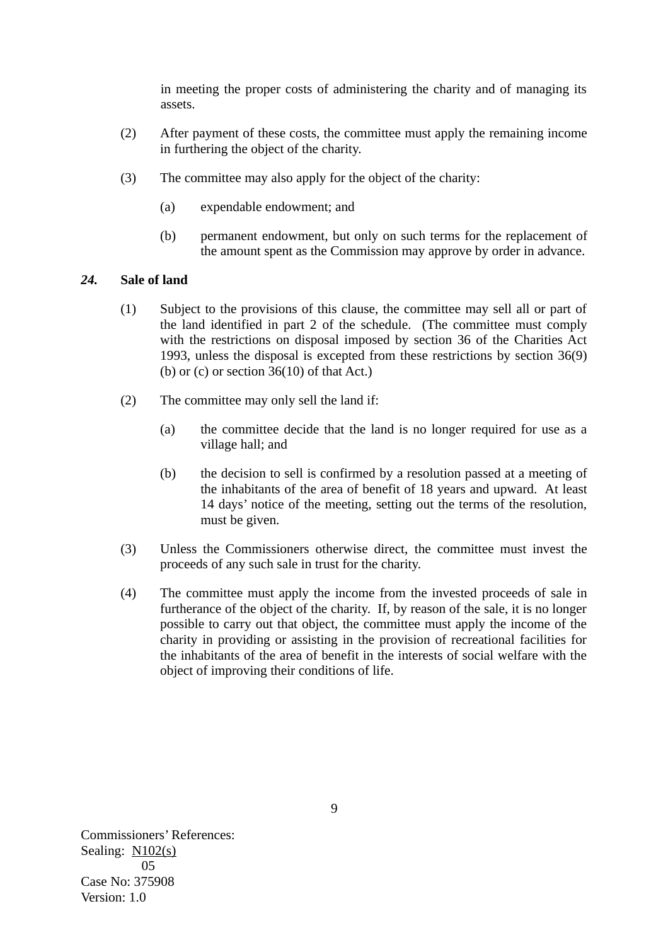in meeting the proper costs of administering the charity and of managing its assets.

- (2) After payment of these costs, the committee must apply the remaining income in furthering the object of the charity.
- (3) The committee may also apply for the object of the charity:
	- (a) expendable endowment; and
	- (b) permanent endowment, but only on such terms for the replacement of the amount spent as the Commission may approve by order in advance.

## *24.* **Sale of land**

- (1) Subject to the provisions of this clause, the committee may sell all or part of the land identified in part 2 of the schedule. (The committee must comply with the restrictions on disposal imposed by section 36 of the Charities Act 1993, unless the disposal is excepted from these restrictions by section 36(9) (b) or  $(c)$  or section 36(10) of that Act.)
- (2) The committee may only sell the land if:
	- (a) the committee decide that the land is no longer required for use as a village hall; and
	- (b) the decision to sell is confirmed by a resolution passed at a meeting of the inhabitants of the area of benefit of 18 years and upward. At least 14 days' notice of the meeting, setting out the terms of the resolution, must be given.
- (3) Unless the Commissioners otherwise direct, the committee must invest the proceeds of any such sale in trust for the charity.
- (4) The committee must apply the income from the invested proceeds of sale in furtherance of the object of the charity. If, by reason of the sale, it is no longer possible to carry out that object, the committee must apply the income of the charity in providing or assisting in the provision of recreational facilities for the inhabitants of the area of benefit in the interests of social welfare with the object of improving their conditions of life.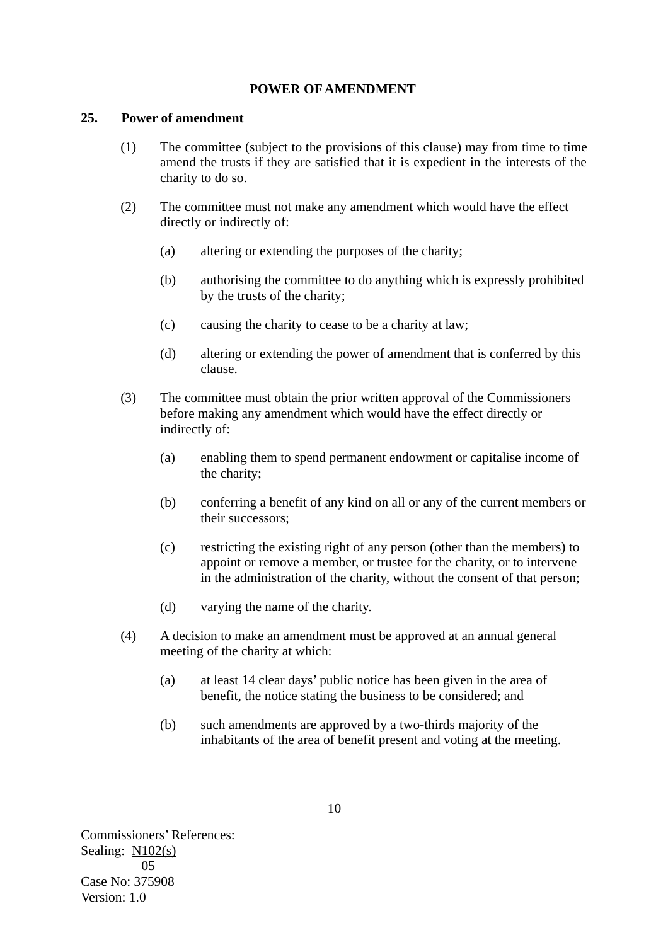## **POWER OF AMENDMENT**

#### **25. Power of amendment**

- (1) The committee (subject to the provisions of this clause) may from time to time amend the trusts if they are satisfied that it is expedient in the interests of the charity to do so.
- (2) The committee must not make any amendment which would have the effect directly or indirectly of:
	- (a) altering or extending the purposes of the charity;
	- (b) authorising the committee to do anything which is expressly prohibited by the trusts of the charity;
	- (c) causing the charity to cease to be a charity at law;
	- (d) altering or extending the power of amendment that is conferred by this clause.
- (3) The committee must obtain the prior written approval of the Commissioners before making any amendment which would have the effect directly or indirectly of:
	- (a) enabling them to spend permanent endowment or capitalise income of the charity;
	- (b) conferring a benefit of any kind on all or any of the current members or their successors;
	- (c) restricting the existing right of any person (other than the members) to appoint or remove a member, or trustee for the charity, or to intervene in the administration of the charity, without the consent of that person;
	- (d) varying the name of the charity.
- (4) A decision to make an amendment must be approved at an annual general meeting of the charity at which:
	- (a) at least 14 clear days' public notice has been given in the area of benefit, the notice stating the business to be considered; and
	- (b) such amendments are approved by a two-thirds majority of the inhabitants of the area of benefit present and voting at the meeting.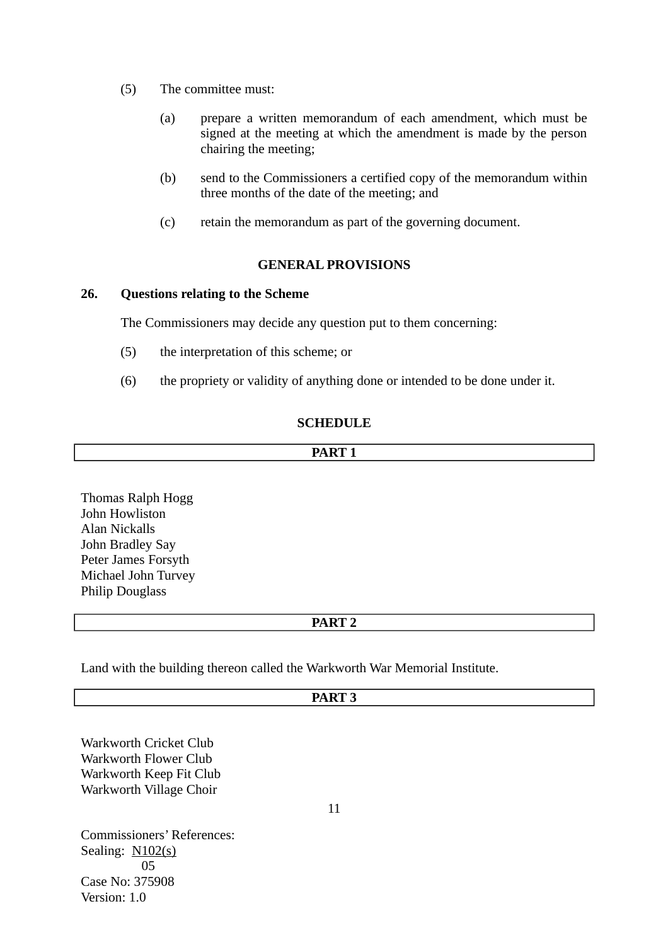- (5) The committee must:
	- (a) prepare a written memorandum of each amendment, which must be signed at the meeting at which the amendment is made by the person chairing the meeting;
	- (b) send to the Commissioners a certified copy of the memorandum within three months of the date of the meeting; and
	- (c) retain the memorandum as part of the governing document.

## **GENERAL PROVISIONS**

## **26. Questions relating to the Scheme**

The Commissioners may decide any question put to them concerning:

- (5) the interpretation of this scheme; or
- (6) the propriety or validity of anything done or intended to be done under it.

## **SCHEDULE**

## **PART 1**

Thomas Ralph Hogg John Howliston Alan Nickalls John Bradley Say Peter James Forsyth Michael John Turvey Philip Douglass

## **PART 2**

Land with the building thereon called the Warkworth War Memorial Institute.

# **PART 3**

Warkworth Cricket Club Warkworth Flower Club Warkworth Keep Fit Club Warkworth Village Choir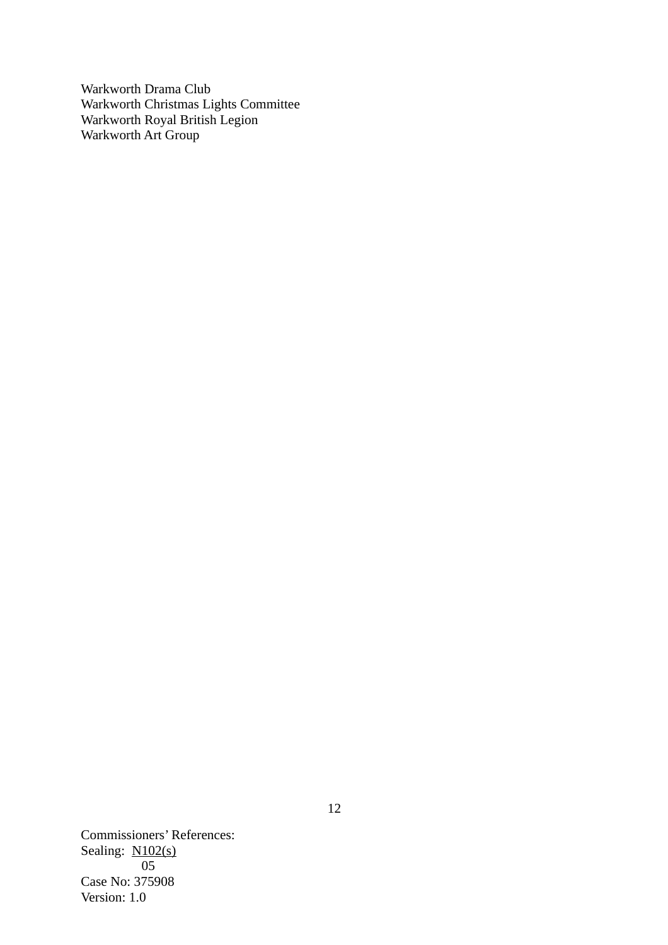Warkworth Drama Club Warkworth Christmas Lights Committee Warkworth Royal British Legion Warkworth Art Group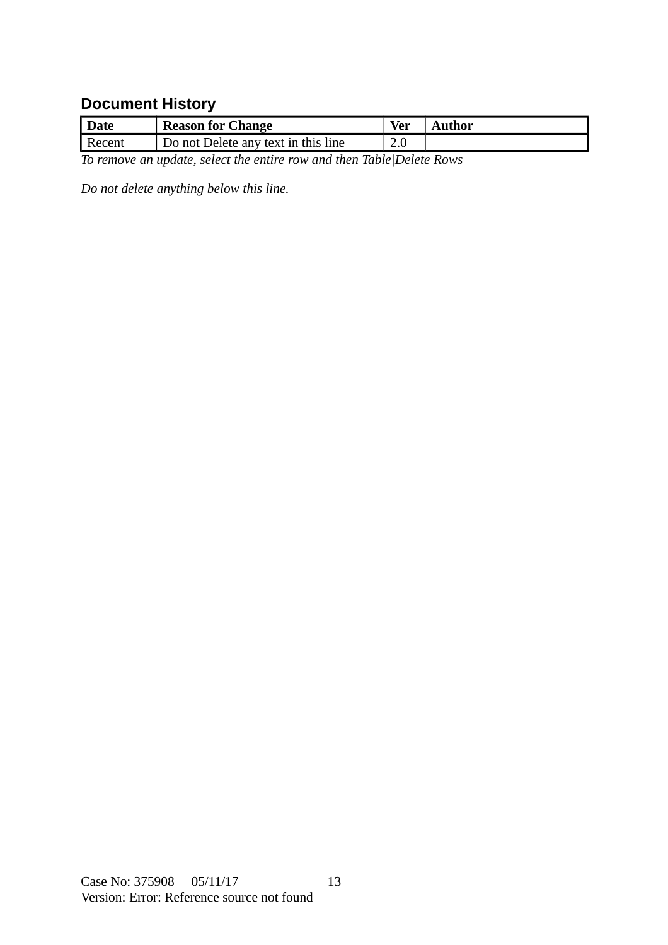# **Document History**

| <b>Date</b>                                                           | Reason for Change                   | Ver | Author |  |
|-----------------------------------------------------------------------|-------------------------------------|-----|--------|--|
| <b>Recent</b>                                                         | Do not Delete any text in this line | 2.0 |        |  |
| To remove an update, select the entire row and then Table Delete Rows |                                     |     |        |  |

<span id="page-12-0"></span>*Do not delete anything below this line.*